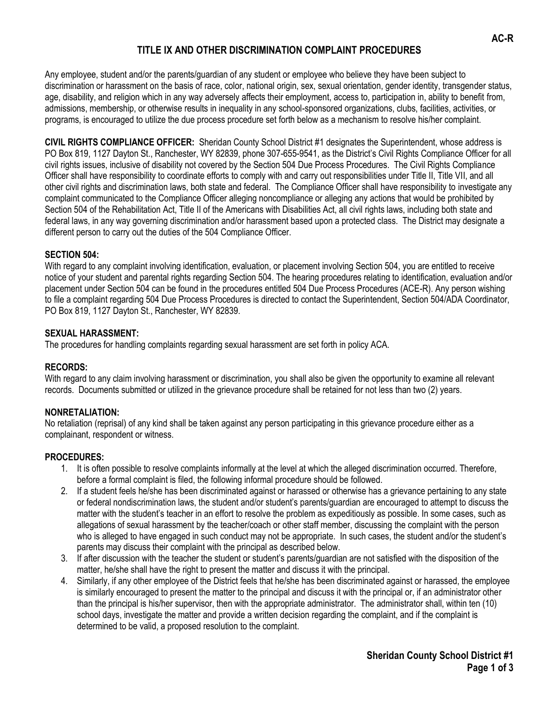## **TITLE IX AND OTHER DISCRIMINATION COMPLAINT PROCEDURES**

Any employee, student and/or the parents/guardian of any student or employee who believe they have been subject to discrimination or harassment on the basis of race, color, national origin, sex, sexual orientation, gender identity, transgender status, age, disability, and religion which in any way adversely affects their employment, access to, participation in, ability to benefit from, admissions, membership, or otherwise results in inequality in any school-sponsored organizations, clubs, facilities, activities, or programs, is encouraged to utilize the due process procedure set forth below as a mechanism to resolve his/her complaint.

**CIVIL RIGHTS COMPLIANCE OFFICER:** Sheridan County School District #1 designates the Superintendent, whose address is PO Box 819, 1127 Dayton St., Ranchester, WY 82839, phone 307-655-9541, as the District's Civil Rights Compliance Officer for all civil rights issues, inclusive of disability not covered by the Section 504 Due Process Procedures. The Civil Rights Compliance Officer shall have responsibility to coordinate efforts to comply with and carry out responsibilities under Title II, Title VII, and all other civil rights and discrimination laws, both state and federal. The Compliance Officer shall have responsibility to investigate any complaint communicated to the Compliance Officer alleging noncompliance or alleging any actions that would be prohibited by Section 504 of the Rehabilitation Act, Title II of the Americans with Disabilities Act, all civil rights laws, including both state and federal laws, in any way governing discrimination and/or harassment based upon a protected class. The District may designate a different person to carry out the duties of the 504 Compliance Officer.

#### **SECTION 504:**

With regard to any complaint involving identification, evaluation, or placement involving Section 504, you are entitled to receive notice of your student and parental rights regarding Section 504. The hearing procedures relating to identification, evaluation and/or placement under Section 504 can be found in the procedures entitled 504 Due Process Procedures (ACE-R). Any person wishing to file a complaint regarding 504 Due Process Procedures is directed to contact the Superintendent, Section 504/ADA Coordinator, PO Box 819, 1127 Dayton St., Ranchester, WY 82839.

#### **SEXUAL HARASSMENT:**

The procedures for handling complaints regarding sexual harassment are set forth in policy ACA.

## **RECORDS:**

With regard to any claim involving harassment or discrimination, you shall also be given the opportunity to examine all relevant records. Documents submitted or utilized in the grievance procedure shall be retained for not less than two (2) years.

## **NONRETALIATION:**

No retaliation (reprisal) of any kind shall be taken against any person participating in this grievance procedure either as a complainant, respondent or witness.

## **PROCEDURES:**

- 1. It is often possible to resolve complaints informally at the level at which the alleged discrimination occurred. Therefore, before a formal complaint is filed, the following informal procedure should be followed.
- 2. If a student feels he/she has been discriminated against or harassed or otherwise has a grievance pertaining to any state or federal nondiscrimination laws, the student and/or student's parents/guardian are encouraged to attempt to discuss the matter with the student's teacher in an effort to resolve the problem as expeditiously as possible. In some cases, such as allegations of sexual harassment by the teacher/coach or other staff member, discussing the complaint with the person who is alleged to have engaged in such conduct may not be appropriate. In such cases, the student and/or the student's parents may discuss their complaint with the principal as described below.
- 3. If after discussion with the teacher the student or student's parents/guardian are not satisfied with the disposition of the matter, he/she shall have the right to present the matter and discuss it with the principal.
- 4. Similarly, if any other employee of the District feels that he/she has been discriminated against or harassed, the employee is similarly encouraged to present the matter to the principal and discuss it with the principal or, if an administrator other than the principal is his/her supervisor, then with the appropriate administrator. The administrator shall, within ten (10) school days, investigate the matter and provide a written decision regarding the complaint, and if the complaint is determined to be valid, a proposed resolution to the complaint.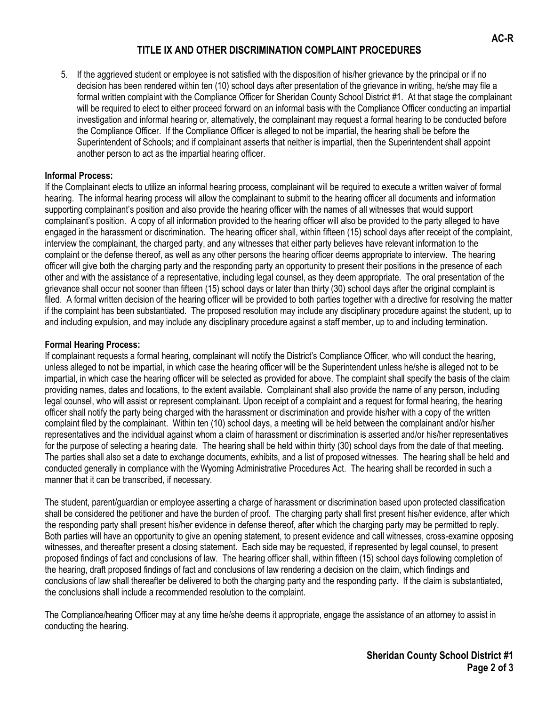## **TITLE IX AND OTHER DISCRIMINATION COMPLAINT PROCEDURES**

5. If the aggrieved student or employee is not satisfied with the disposition of his/her grievance by the principal or if no decision has been rendered within ten (10) school days after presentation of the grievance in writing, he/she may file a formal written complaint with the Compliance Officer for Sheridan County School District #1. At that stage the complainant will be required to elect to either proceed forward on an informal basis with the Compliance Officer conducting an impartial investigation and informal hearing or, alternatively, the complainant may request a formal hearing to be conducted before the Compliance Officer. If the Compliance Officer is alleged to not be impartial, the hearing shall be before the Superintendent of Schools; and if complainant asserts that neither is impartial, then the Superintendent shall appoint another person to act as the impartial hearing officer.

#### **Informal Process:**

If the Complainant elects to utilize an informal hearing process, complainant will be required to execute a written waiver of formal hearing. The informal hearing process will allow the complainant to submit to the hearing officer all documents and information supporting complainant's position and also provide the hearing officer with the names of all witnesses that would support complainant's position. A copy of all information provided to the hearing officer will also be provided to the party alleged to have engaged in the harassment or discrimination. The hearing officer shall, within fifteen (15) school days after receipt of the complaint, interview the complainant, the charged party, and any witnesses that either party believes have relevant information to the complaint or the defense thereof, as well as any other persons the hearing officer deems appropriate to interview. The hearing officer will give both the charging party and the responding party an opportunity to present their positions in the presence of each other and with the assistance of a representative, including legal counsel, as they deem appropriate. The oral presentation of the grievance shall occur not sooner than fifteen (15) school days or later than thirty (30) school days after the original complaint is filed. A formal written decision of the hearing officer will be provided to both parties together with a directive for resolving the matter if the complaint has been substantiated. The proposed resolution may include any disciplinary procedure against the student, up to and including expulsion, and may include any disciplinary procedure against a staff member, up to and including termination.

#### **Formal Hearing Process:**

If complainant requests a formal hearing, complainant will notify the District's Compliance Officer, who will conduct the hearing, unless alleged to not be impartial, in which case the hearing officer will be the Superintendent unless he/she is alleged not to be impartial, in which case the hearing officer will be selected as provided for above. The complaint shall specify the basis of the claim providing names, dates and locations, to the extent available. Complainant shall also provide the name of any person, including legal counsel, who will assist or represent complainant. Upon receipt of a complaint and a request for formal hearing, the hearing officer shall notify the party being charged with the harassment or discrimination and provide his/her with a copy of the written complaint filed by the complainant. Within ten (10) school days, a meeting will be held between the complainant and/or his/her representatives and the individual against whom a claim of harassment or discrimination is asserted and/or his/her representatives for the purpose of selecting a hearing date. The hearing shall be held within thirty (30) school days from the date of that meeting. The parties shall also set a date to exchange documents, exhibits, and a list of proposed witnesses. The hearing shall be held and conducted generally in compliance with the Wyoming Administrative Procedures Act. The hearing shall be recorded in such a manner that it can be transcribed, if necessary.

The student, parent/guardian or employee asserting a charge of harassment or discrimination based upon protected classification shall be considered the petitioner and have the burden of proof. The charging party shall first present his/her evidence, after which the responding party shall present his/her evidence in defense thereof, after which the charging party may be permitted to reply. Both parties will have an opportunity to give an opening statement, to present evidence and call witnesses, cross-examine opposing witnesses, and thereafter present a closing statement. Each side may be requested, if represented by legal counsel, to present proposed findings of fact and conclusions of law. The hearing officer shall, within fifteen (15) school days following completion of the hearing, draft proposed findings of fact and conclusions of law rendering a decision on the claim, which findings and conclusions of law shall thereafter be delivered to both the charging party and the responding party. If the claim is substantiated, the conclusions shall include a recommended resolution to the complaint.

The Compliance/hearing Officer may at any time he/she deems it appropriate, engage the assistance of an attorney to assist in conducting the hearing.